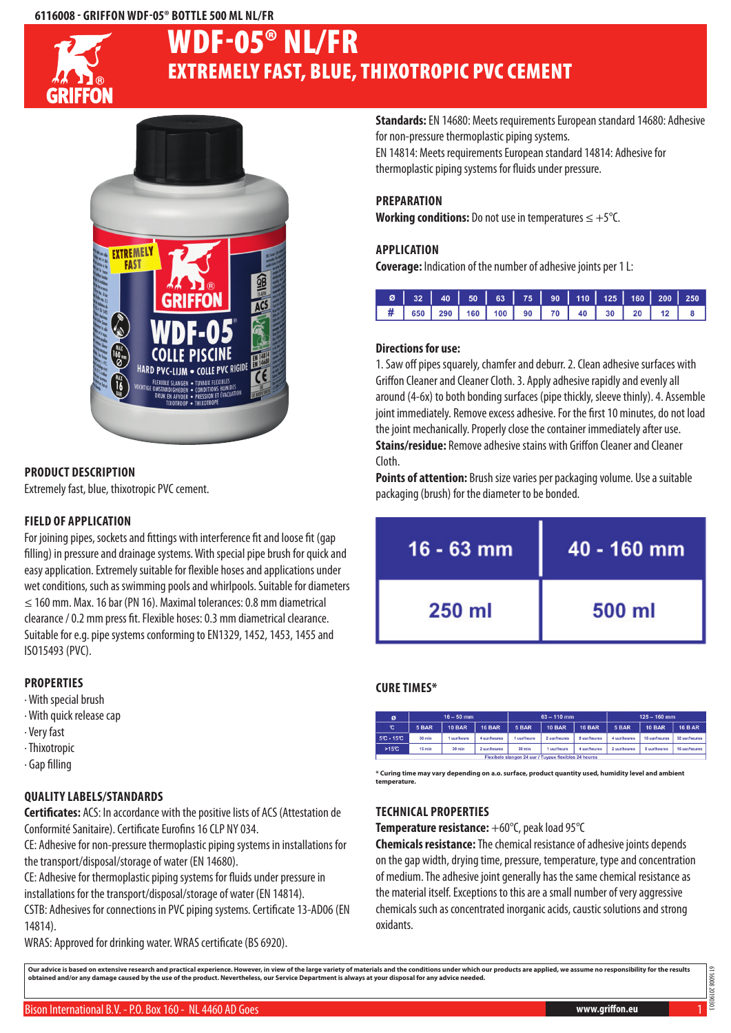#### **6116008 - Griffon WDF-05® Bottle 500 ml NL/FR**



# Extremely fast, blue, thixotropic PVC cement WDF-05® NL/FR



### **Product description**

Extremely fast, blue, thixotropic PVC cement.

#### **Field of application**

For joining pipes, sockets and fittings with interference fit and loose fit (gap filling) in pressure and drainage systems. With special pipe brush for quick and easy application. Extremely suitable for flexible hoses and applications under wet conditions, such as swimming pools and whirlpools. Suitable for diameters  $\leq$  160 mm. Max. 16 bar (PN 16). Maximal tolerances: 0.8 mm diametrical clearance / 0.2 mm press fit. Flexible hoses: 0.3 mm diametrical clearance. Suitable for e.g. pipe systems conforming to EN1329, 1452, 1453, 1455 and ISO15493 (PVC).

#### **Properties**

- · With special brush
- · With quick release cap
- · Very fast
- · Thixotropic
- · Gap filling

# **Quality labels/Standards**

**Certificates:** ACS: In accordance with the positive lists of ACS (Attestation de Conformité Sanitaire). Certificate Eurofins 16 CLP NY 034.

CE: Adhesive for non-pressure thermoplastic piping systems in installations for the transport/disposal/storage of water (EN 14680).

CE: Adhesive for thermoplastic piping systems for fluids under pressure in installations for the transport/disposal/storage of water (EN 14814).

CSTB: Adhesives for connections in PVC piping systems. Certificate 13-AD06 (EN 14814).

WRAS: Approved for drinking water. WRAS certificate (BS 6920).

**Standards:** EN 14680: Meets requirements European standard 14680: Adhesive for non-pressure thermoplastic piping systems.

EN 14814: Meets requirements European standard 14814: Adhesive for thermoplastic piping systems for fluids under pressure.

#### **Preparation**

**Working conditions:** Do not use in temperatures ≤ +5°C.

#### **Application**

**Coverage:** Indication of the number of adhesive joints per 1 L:

| Ø   32   40   50   63   75   90   110   125   160   200   250 |  |  |  |  |  |
|---------------------------------------------------------------|--|--|--|--|--|
| <b>#</b> 650 290 160 100 90 70 40 30 20 12 8                  |  |  |  |  |  |

#### **Directions for use:**

1. Saw off pipes squarely, chamfer and deburr. 2. Clean adhesive surfaces with Griffon Cleaner and Cleaner Cloth. 3. Apply adhesive rapidly and evenly all around (4-6x) to both bonding surfaces (pipe thickly, sleeve thinly). 4. Assemble joint immediately. Remove excess adhesive. For the first 10 minutes, do not load the joint mechanically. Properly close the container immediately after use. **Stains/residue:** Remove adhesive stains with Griffon Cleaner and Cleaner Cloth.

**Points of attention:** Brush size varies per packaging volume. Use a suitable packaging (brush) for the diameter to be bonded.

| $16 - 63$ mm | 40 - 160 mm |  |  |  |
|--------------|-------------|--|--|--|
| $250$ m      | 500 ml      |  |  |  |

# **Cure times\***

| ø                                                     |                  | $16 - 50$ mm  |               |           | $63 - 110$ mm |               | $125 - 160$ mm |               |                |  |
|-------------------------------------------------------|------------------|---------------|---------------|-----------|---------------|---------------|----------------|---------------|----------------|--|
| C                                                     | 5 BAR            | <b>10 BAR</b> | <b>16 BAR</b> | 5 BAR     | <b>10 BAR</b> | <b>16 BAR</b> | 5 BAR          | <b>10 BAR</b> | <b>16 B AR</b> |  |
| $5C - 15C$                                            | $30 \text{ min}$ | I uur/heure   | 4 uur/heures  | uur/heure | 2 uur/heures  | 8 uur/heures  | 4 uur/heures   | 16 uur/heures | 32 uur/heures  |  |
| $>15^\circ$ C                                         | 15 min           | $30$ min      | 2 uur/heures  | 30 min    | uur/heure     | 4 uur/heures  | 2 uuriheures   | 8 uur/heures  | 16 uur/heures  |  |
| Flexibele slangen 24 uur / Tuyaux flexibles 24 heures |                  |               |               |           |               |               |                |               |                |  |

**\* Curing time may vary depending on a.o. surface, product quantity used, humidity level and ambient temperature.**

#### **Technical properties**

**Temperature resistance:** +60°C, peak load 95°C

**Chemicals resistance:** The chemical resistance of adhesive joints depends on the gap width, drying time, pressure, temperature, type and concentration of medium. The adhesive joint generally has the same chemical resistance as the material itself. Exceptions to this are a small number of very aggressive chemicals such as concentrated inorganic acids, caustic solutions and strong oxidants.

Our advice is based on extensive research and practical experience. However, in view of the large variety of materials and the conditions under which our products are applied, we assume no responsibility for the results<br>ob

6116008 201904303 16008